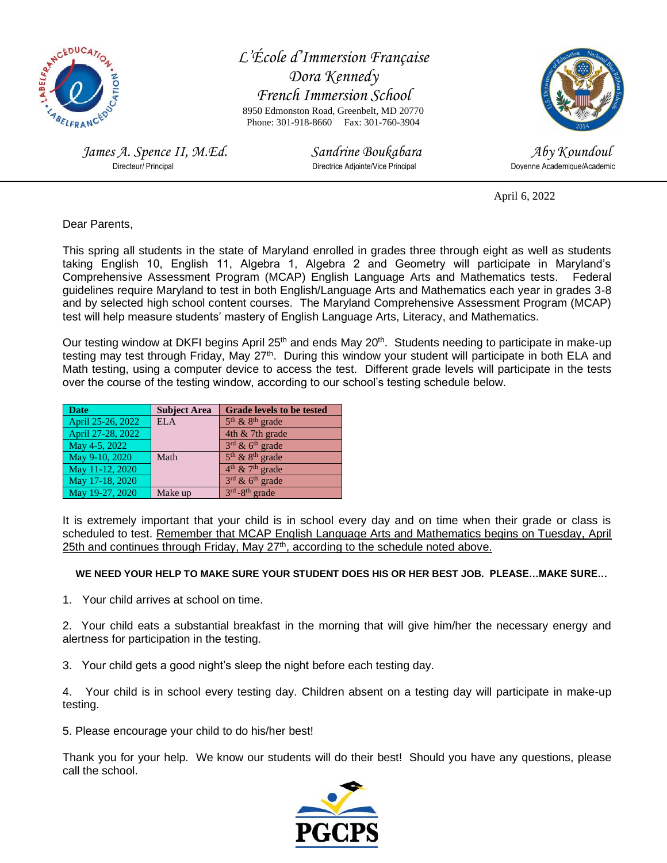

*L'École d'Immersion Française Dora Kennedy French Immersion School* 8950 Edmonston Road, Greenbelt, MD 20770 Phone: 301-918-8660 Fax: 301-760-3904

*James A. Spence II, M.Ed.* Sandrine Boukabara Sandrine Boukabara Aby Koundoul<br>Directeur/ Principal *Directice Adjointe/Vice Principal* Doyenne Academique/Academic

Directrice Adjointe/Vice Principal



April 6, 2022

Dear Parents,

This spring all students in the state of Maryland enrolled in grades three through eight as well as students taking English 10, English 11, Algebra 1, Algebra 2 and Geometry will participate in Maryland's Comprehensive Assessment Program (MCAP) English Language Arts and Mathematics tests. Federal guidelines require Maryland to test in both English/Language Arts and Mathematics each year in grades 3-8 and by selected high school content courses. The Maryland Comprehensive Assessment Program (MCAP) test will help measure students' mastery of English Language Arts, Literacy, and Mathematics.

Our testing window at DKFI begins April 25<sup>th</sup> and ends May 20<sup>th</sup>. Students needing to participate in make-up testing may test through Friday, May 27<sup>th</sup>. During this window your student will participate in both ELA and Math testing, using a computer device to access the test. Different grade levels will participate in the tests over the course of the testing window, according to our school's testing schedule below.

| <b>Date</b>       | <b>Subject Area</b> | <b>Grade levels to be tested</b>        |
|-------------------|---------------------|-----------------------------------------|
| April 25-26, 2022 | ELA                 | $5th$ & $8th$ grade                     |
| April 27-28, 2022 |                     | 4th & 7th grade                         |
| May 4-5, 2022     |                     | $3^{\text{rd}}$ & 6 <sup>th</sup> grade |
| May 9-10, 2020    | Math                | $5th$ & $8th$ grade                     |
| May 11-12, 2020   |                     | $4th$ & 7 <sup>th</sup> grade           |
| May 17-18, 2020   |                     | $3rd$ & 6 <sup>th</sup> grade           |
| May 19-27, 2020   | Make up             | $3rd - 8th$ grade                       |

It is extremely important that your child is in school every day and on time when their grade or class is scheduled to test. Remember that MCAP English Language Arts and Mathematics begins on Tuesday, April 25th and continues through Friday, May 27<sup>th</sup>, according to the schedule noted above.

## **WE NEED YOUR HELP TO MAKE SURE YOUR STUDENT DOES HIS OR HER BEST JOB. PLEASE…MAKE SURE…**

1. Your child arrives at school on time.

2. Your child eats a substantial breakfast in the morning that will give him/her the necessary energy and alertness for participation in the testing.

3. Your child gets a good night's sleep the night before each testing day.

4. Your child is in school every testing day. Children absent on a testing day will participate in make-up testing.

5. Please encourage your child to do his/her best!

Thank you for your help. We know our students will do their best! Should you have any questions, please call the school.